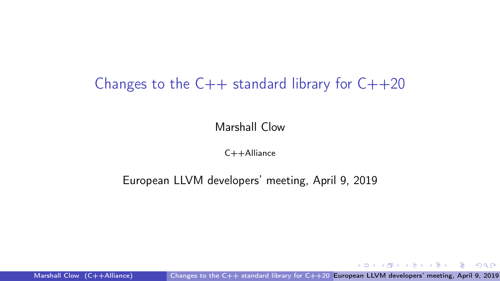#### <span id="page-0-0"></span>Changes to the  $C++$  standard library for  $C++20$

Marshall Clow

 $C++$ Alliance

European LLVM developers' meeting, April 9, 2019

Marshall Clow (C++Alliance) [Changes to the C++ standard library for C++20](#page-11-0) European LLVM developers' meeting, April 9, 2019

イロト イ押 トイヨ トイヨト

GB 11  $299$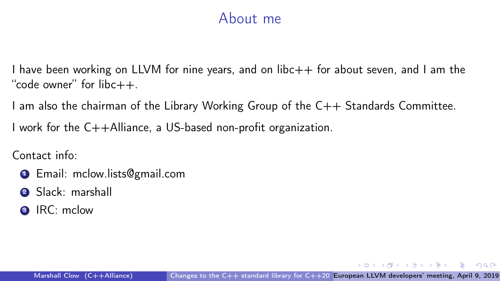#### About me

I have been working on LLVM for nine years, and on  $libc++$  for about seven, and I am the "code owner" for  $libc++$ 

I am also the chairman of the Library Working Group of the C++ Standards Committee.

I work for the C++Alliance, a US-based non-profit organization.

Contact info:

- **1** Email: mclow.lists@gmail.com
- <sup>2</sup> Slack: marshall
- **3** IRC: mclow

 $\mathcal{A} \oplus \mathcal{B} \rightarrow \mathcal{A} \oplus \mathcal{B} \rightarrow \mathcal{A} \oplus \mathcal{B} \rightarrow \mathcal{B} \oplus \mathcal{B}$ 

 $QQ$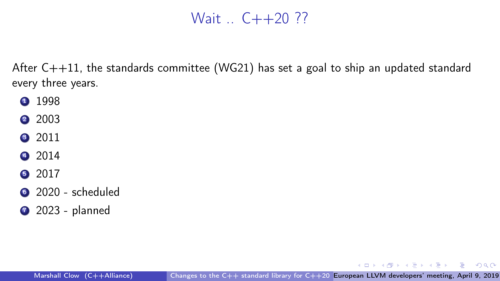#### Wait  $C++20$  ??

After  $C++11$ , the standards committee (WG21) has set a goal to ship an updated standard every three years.

- **1998**
- 2 2003
- **3** 2011
- 4 2014
- 2017
- <sup>6</sup> 2020 scheduled
- **2023** planned

#### Marshall Clow  $(C++Alliance)$  Changes to the  $C++$  standard library for  $C++20$  European LLVM developers' meeting, April 9, 2019

 $\mathcal{A} \oplus \mathcal{B}$   $\rightarrow$   $\mathcal{A} \oplus \mathcal{B}$   $\rightarrow$   $\mathcal{A} \oplus \mathcal{B}$ 

그 그는 사

 $299$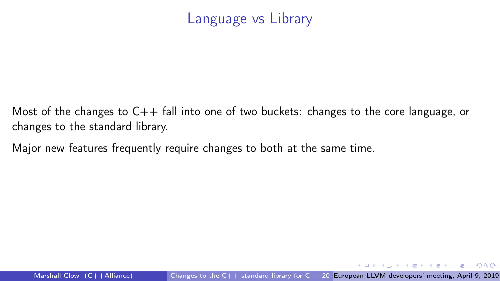#### Language vs Library

Most of the changes to  $C_{++}$  fall into one of two buckets: changes to the core language, or changes to the standard library.

Major new features frequently require changes to both at the same time.

Marshall Clow (C++Alliance) [Changes to the C++ standard library for C++20](#page-0-0) European LLVM developers' meeting, April 9, 2019

 $\overline{AB}$   $\rightarrow$   $\overline{AB}$   $\rightarrow$   $\overline{AB}$   $\rightarrow$ 

그 그는 그

 $QQ$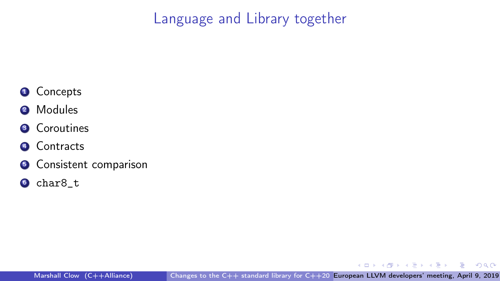Language and Library together

- **4** Concepts
- 2 Modules
- **3** Coroutines
- **4** Contracts
- **6** Consistent comparison
- <sup>6</sup> char8\_t

 $\sim$  m  $\leftarrow$   $\equiv$  $\triangleright$   $\rightarrow$   $\exists$ э  $299$ 

Marshall Clow (C++Alliance) [Changes to the C++ standard library for C++20](#page-0-0) European LLVM developers' meeting, April 9, 2019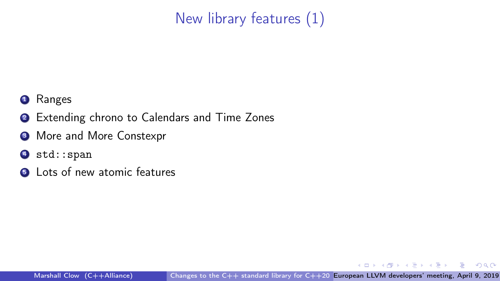## New library features (1)

- **1** Ranges
- **2** Extending chrono to Calendars and Time Zones
- <sup>3</sup> More and More Constexpr
- 4 std::span
- **6** Lots of new atomic features

 $\triangleright$   $\rightarrow$   $\exists$   $\triangleright$   $\rightarrow$   $\exists$   $\rightarrow$ 

э

 $299$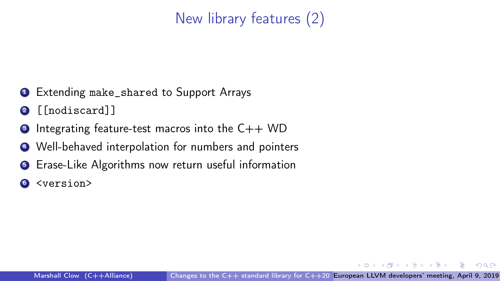## New library features (2)

- **1** Extending make\_shared to Support Arrays
- <sup>2</sup> [[nodiscard]]
- $\bullet$  Integrating feature-test macros into the C++ WD
- <sup>4</sup> Well-behaved interpolation for numbers and pointers
- **•** Erase-Like Algorithms now return useful information
- <sup>6</sup> <version>

 $QQ$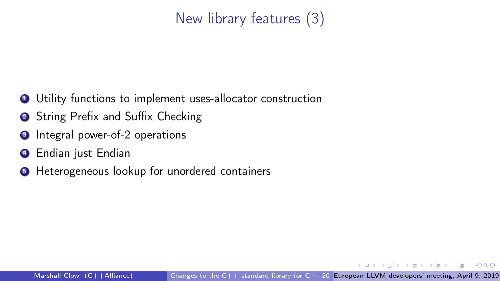#### New library features (3)

- Utility functions to implement uses-allocator construction
- String Prefix and Suffix Checking
- Integral power-of-2 operations
- Endian just Endian
- Heterogeneous lookup for unordered containers

 $\Omega$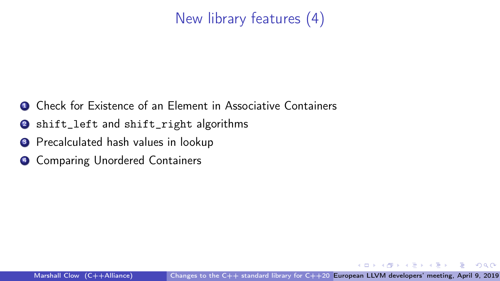#### New library features (4)

- **1** Check for Existence of an Element in Associative Containers
- <sup>2</sup> shift\_left and shift\_right algorithms
- <sup>3</sup> Precalculated hash values in lookup
- **4 Comparing Unordered Containers**

 $\Omega$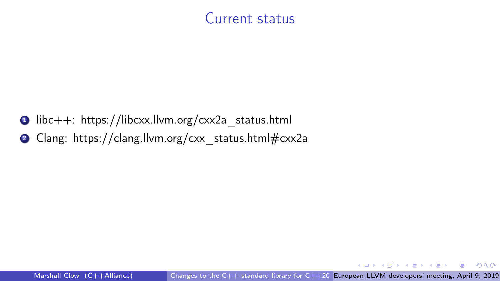#### Current status

- $\bullet$  libc++: https://libcxx.llvm.org/cxx2a\_status.html
- 2 Clang: https://clang.llvm.org/cxx\_status.html#cxx2a

Marshall Clow  $(C++Alliance)$  Changes to the  $C++$  standard library for  $C++20$  European LLVM developers' meeting, April 9, 2019

 $\mathcal{A} \oplus \mathcal{B}$   $\mathcal{B} \oplus \mathcal{B}$   $\mathcal{A} \oplus \mathcal{B}$   $\mathcal{B}$ 

G.

 $299$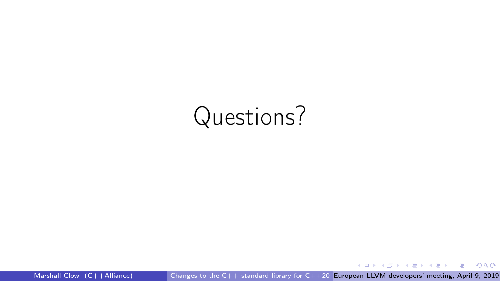## Questions?

 $\mathcal{A} \subseteq \mathcal{A} \rightarrow \mathcal{A} \oplus \mathcal{A} \rightarrow \mathcal{A} \oplus \mathcal{A} \rightarrow \mathcal{A} \oplus \mathcal{A}$  $2990$ - 로

Marshall Clow (C++Alliance) [Changes to the C++ standard library for C++20](#page-0-0) European LLVM developers' meeting, April 9, 2019